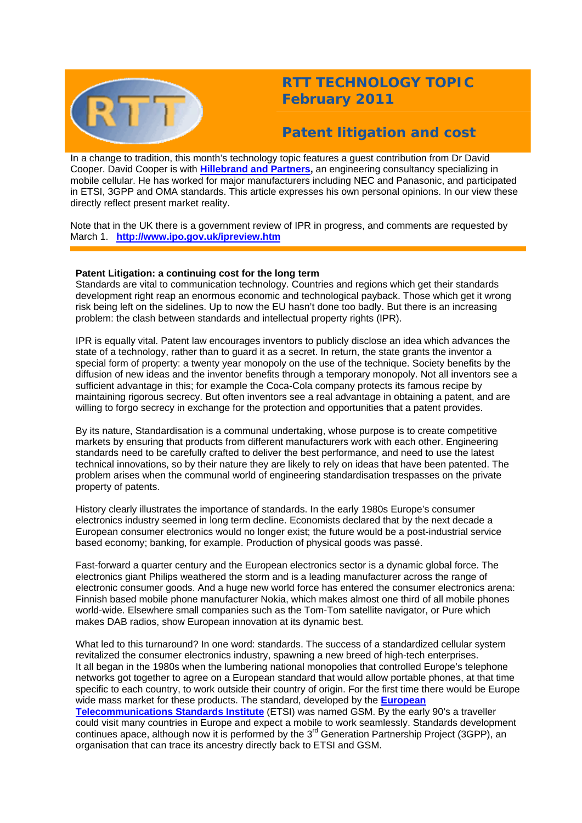

# **RTT TECHNOLOGY TOPIC February 2011**

# **Patent litigation and cost**

In a change to tradition, this month's technology topic features a guest contribution from Dr David Cooper. David Cooper is with **[Hillebrand and Partners,](http://www.hillebrand-partners.com/)** an engineering consultancy specializing in mobile cellular. He has worked for major manufacturers including NEC and Panasonic, and participated in ETSI, 3GPP and OMA standards. This article expresses his own personal opinions. In our view these directly reflect present market reality.

Note that in the UK there is a government review of IPR in progress, and comments are requested by March 1. **<http://www.ipo.gov.uk/ipreview.htm>**

## **Patent Litigation: a continuing cost for the long term**

Standards are vital to communication technology. Countries and regions which get their standards development right reap an enormous economic and technological payback. Those which get it wrong risk being left on the sidelines. Up to now the EU hasn't done too badly. But there is an increasing problem: the clash between standards and intellectual property rights (IPR).

IPR is equally vital. Patent law encourages inventors to publicly disclose an idea which advances the state of a technology, rather than to guard it as a secret. In return, the state grants the inventor a special form of property: a twenty year monopoly on the use of the technique. Society benefits by the diffusion of new ideas and the inventor benefits through a temporary monopoly. Not all inventors see a sufficient advantage in this; for example the Coca-Cola company protects its famous recipe by maintaining rigorous secrecy. But often inventors see a real advantage in obtaining a patent, and are willing to forgo secrecy in exchange for the protection and opportunities that a patent provides.

By its nature, Standardisation is a communal undertaking, whose purpose is to create competitive markets by ensuring that products from different manufacturers work with each other. Engineering standards need to be carefully crafted to deliver the best performance, and need to use the latest technical innovations, so by their nature they are likely to rely on ideas that have been patented. The problem arises when the communal world of engineering standardisation trespasses on the private property of patents.

History clearly illustrates the importance of standards. In the early 1980s Europe's consumer electronics industry seemed in long term decline. Economists declared that by the next decade a European consumer electronics would no longer exist; the future would be a post-industrial service based economy; banking, for example. Production of physical goods was passé.

Fast-forward a quarter century and the European electronics sector is a dynamic global force. The electronics giant Philips weathered the storm and is a leading manufacturer across the range of electronic consumer goods. And a huge new world force has entered the consumer electronics arena: Finnish based mobile phone manufacturer Nokia, which makes almost one third of all mobile phones world-wide. Elsewhere small companies such as the Tom-Tom satellite navigator, or Pure which makes DAB radios, show European innovation at its dynamic best.

What led to this turnaround? In one word: standards. The success of a standardized cellular system revitalized the consumer electronics industry, spawning a new breed of high-tech enterprises. It all began in the 1980s when the lumbering national monopolies that controlled Europe's telephone networks got together to agree on a European standard that would allow portable phones, at that time specific to each country, to work outside their country of origin. For the first time there would be Europe wide mass market for these products. The standard, developed by the **[European](http://www.etsi.org/WebSite/homepage.aspx)  [Telecommunications Standards Institute](http://www.etsi.org/WebSite/homepage.aspx)** (ETSI) was named GSM. By the early 90's a traveller could visit many countries in Europe and expect a mobile to work seamlessly. Standards development continues apace, although now it is performed by the 3<sup>rd</sup> Generation Partnership Project (3GPP), an

organisation that can trace its ancestry directly back to ETSI and GSM.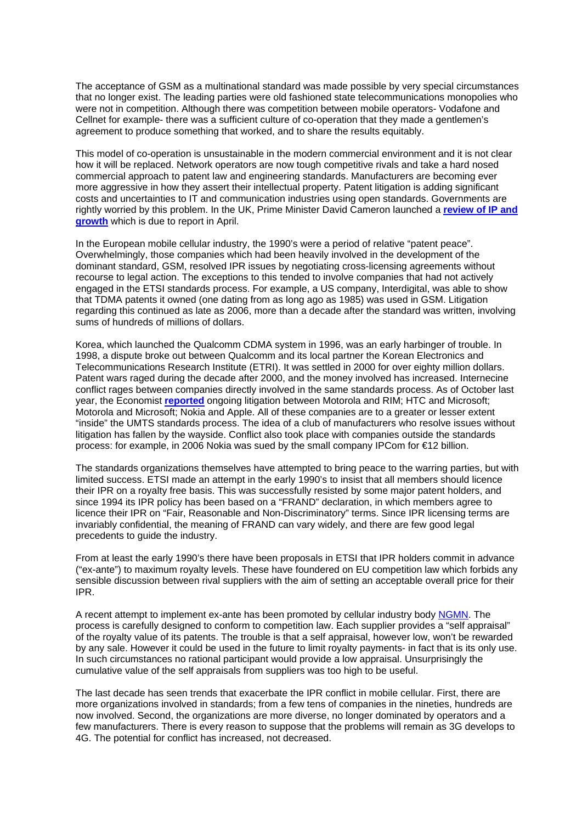The acceptance of GSM as a multinational standard was made possible by very special circumstances that no longer exist. The leading parties were old fashioned state telecommunications monopolies who were not in competition. Although there was competition between mobile operators- Vodafone and Cellnet for example- there was a sufficient culture of co-operation that they made a gentlemen's agreement to produce something that worked, and to share the results equitably.

This model of co-operation is unsustainable in the modern commercial environment and it is not clear how it will be replaced. Network operators are now tough competitive rivals and take a hard nosed commercial approach to patent law and engineering standards. Manufacturers are becoming ever more aggressive in how they assert their intellectual property. Patent litigation is adding significant costs and uncertainties to IT and communication industries using open standards. Governments are rightly worried by this problem. In the UK, Prime Minister David Cameron launched a **[review of IP and](http://www.ipo.gov.uk/ipreview.htm)  [growth](http://www.ipo.gov.uk/ipreview.htm)** which is due to report in April.

In the European mobile cellular industry, the 1990's were a period of relative "patent peace". Overwhelmingly, those companies which had been heavily involved in the development of the dominant standard, GSM, resolved IPR issues by negotiating cross-licensing agreements without recourse to legal action. The exceptions to this tended to involve companies that had not actively engaged in the ETSI standards process. For example, a US company, Interdigital, was able to show that TDMA patents it owned (one dating from as long ago as 1985) was used in GSM. Litigation regarding this continued as late as 2006, more than a decade after the standard was written, involving sums of hundreds of millions of dollars.

Korea, which launched the Qualcomm CDMA system in 1996, was an early harbinger of trouble. In 1998, a dispute broke out between Qualcomm and its local partner the Korean Electronics and Telecommunications Research Institute (ETRI). It was settled in 2000 for over eighty million dollars. Patent wars raged during the decade after 2000, and the money involved has increased. Internecine conflict rages between companies directly involved in the same standards process. As of October last year, the Economist **[reported](http://www.economist.com/research/articlesBySubject/displayStory.cfm?story_id=17309237&subjectID=894408&fsrc=nwl)** ongoing litigation between Motorola and RIM; HTC and Microsoft; Motorola and Microsoft; Nokia and Apple. All of these companies are to a greater or lesser extent "inside" the UMTS standards process. The idea of a club of manufacturers who resolve issues without litigation has fallen by the wayside. Conflict also took place with companies outside the standards process: for example, in 2006 Nokia was sued by the small company IPCom for €12 billion.

The standards organizations themselves have attempted to bring peace to the warring parties, but with limited success. ETSI made an attempt in the early 1990's to insist that all members should licence their IPR on a royalty free basis. This was successfully resisted by some major patent holders, and since 1994 its IPR policy has been based on a "FRAND" declaration, in which members agree to licence their IPR on "Fair, Reasonable and Non-Discriminatory" terms. Since IPR licensing terms are invariably confidential, the meaning of FRAND can vary widely, and there are few good legal precedents to guide the industry.

From at least the early 1990's there have been proposals in ETSI that IPR holders commit in advance ("ex-ante") to maximum royalty levels. These have foundered on EU competition law which forbids any sensible discussion between rival suppliers with the aim of setting an acceptable overall price for their IPR.

A recent attempt to implement ex-ante has been promoted by cellular industry body [NGMN](http://www.ngmn.org/). The process is carefully designed to conform to competition law. Each supplier provides a "self appraisal" of the royalty value of its patents. The trouble is that a self appraisal, however low, won't be rewarded by any sale. However it could be used in the future to limit royalty payments- in fact that is its only use. In such circumstances no rational participant would provide a low appraisal. Unsurprisingly the cumulative value of the self appraisals from suppliers was too high to be useful.

The last decade has seen trends that exacerbate the IPR conflict in mobile cellular. First, there are more organizations involved in standards; from a few tens of companies in the nineties, hundreds are now involved. Second, the organizations are more diverse, no longer dominated by operators and a few manufacturers. There is every reason to suppose that the problems will remain as 3G develops to 4G. The potential for conflict has increased, not decreased.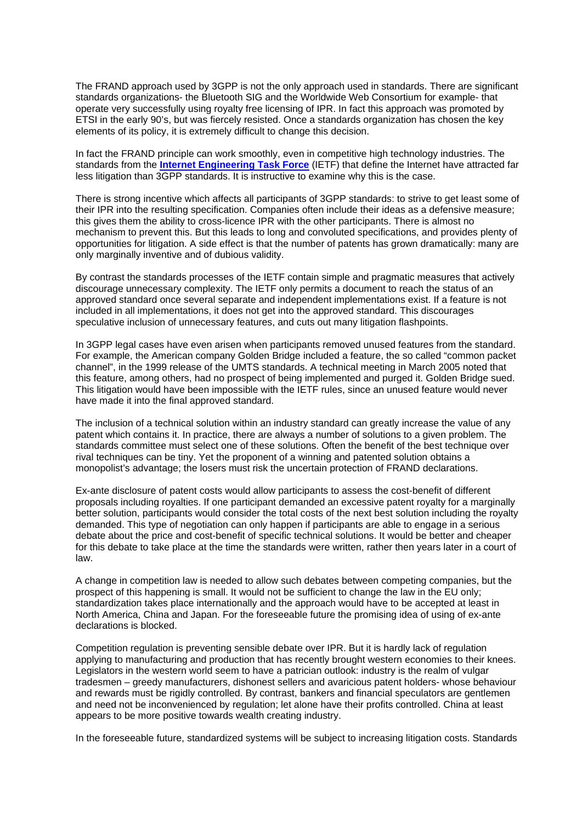The FRAND approach used by 3GPP is not the only approach used in standards. There are significant standards organizations- the Bluetooth SIG and the Worldwide Web Consortium for example- that operate very successfully using royalty free licensing of IPR. In fact this approach was promoted by ETSI in the early 90's, but was fiercely resisted. Once a standards organization has chosen the key elements of its policy, it is extremely difficult to change this decision.

In fact the FRAND principle can work smoothly, even in competitive high technology industries. The standards from the **[Internet Engineering Task Force](http://www.ietf.org/)** (IETF) that define the Internet have attracted far less litigation than 3GPP standards. It is instructive to examine why this is the case.

There is strong incentive which affects all participants of 3GPP standards: to strive to get least some of their IPR into the resulting specification. Companies often include their ideas as a defensive measure; this gives them the ability to cross-licence IPR with the other participants. There is almost no mechanism to prevent this. But this leads to long and convoluted specifications, and provides plenty of opportunities for litigation. A side effect is that the number of patents has grown dramatically: many are only marginally inventive and of dubious validity.

By contrast the standards processes of the IETF contain simple and pragmatic measures that actively discourage unnecessary complexity. The IETF only permits a document to reach the status of an approved standard once several separate and independent implementations exist. If a feature is not included in all implementations, it does not get into the approved standard. This discourages speculative inclusion of unnecessary features, and cuts out many litigation flashpoints.

In 3GPP legal cases have even arisen when participants removed unused features from the standard. For example, the American company Golden Bridge included a feature, the so called "common packet channel", in the 1999 release of the UMTS standards. A technical meeting in March 2005 noted that this feature, among others, had no prospect of being implemented and purged it. Golden Bridge sued. This litigation would have been impossible with the IETF rules, since an unused feature would never have made it into the final approved standard.

The inclusion of a technical solution within an industry standard can greatly increase the value of any patent which contains it. In practice, there are always a number of solutions to a given problem. The standards committee must select one of these solutions. Often the benefit of the best technique over rival techniques can be tiny. Yet the proponent of a winning and patented solution obtains a monopolist's advantage; the losers must risk the uncertain protection of FRAND declarations.

Ex-ante disclosure of patent costs would allow participants to assess the cost-benefit of different proposals including royalties. If one participant demanded an excessive patent royalty for a marginally better solution, participants would consider the total costs of the next best solution including the royalty demanded. This type of negotiation can only happen if participants are able to engage in a serious debate about the price and cost-benefit of specific technical solutions. It would be better and cheaper for this debate to take place at the time the standards were written, rather then years later in a court of law.

A change in competition law is needed to allow such debates between competing companies, but the prospect of this happening is small. It would not be sufficient to change the law in the EU only; standardization takes place internationally and the approach would have to be accepted at least in North America, China and Japan. For the foreseeable future the promising idea of using of ex-ante declarations is blocked.

Competition regulation is preventing sensible debate over IPR. But it is hardly lack of regulation applying to manufacturing and production that has recently brought western economies to their knees. Legislators in the western world seem to have a patrician outlook: industry is the realm of vulgar tradesmen – greedy manufacturers, dishonest sellers and avaricious patent holders- whose behaviour and rewards must be rigidly controlled. By contrast, bankers and financial speculators are gentlemen and need not be inconvenienced by regulation; let alone have their profits controlled. China at least appears to be more positive towards wealth creating industry.

In the foreseeable future, standardized systems will be subject to increasing litigation costs. Standards